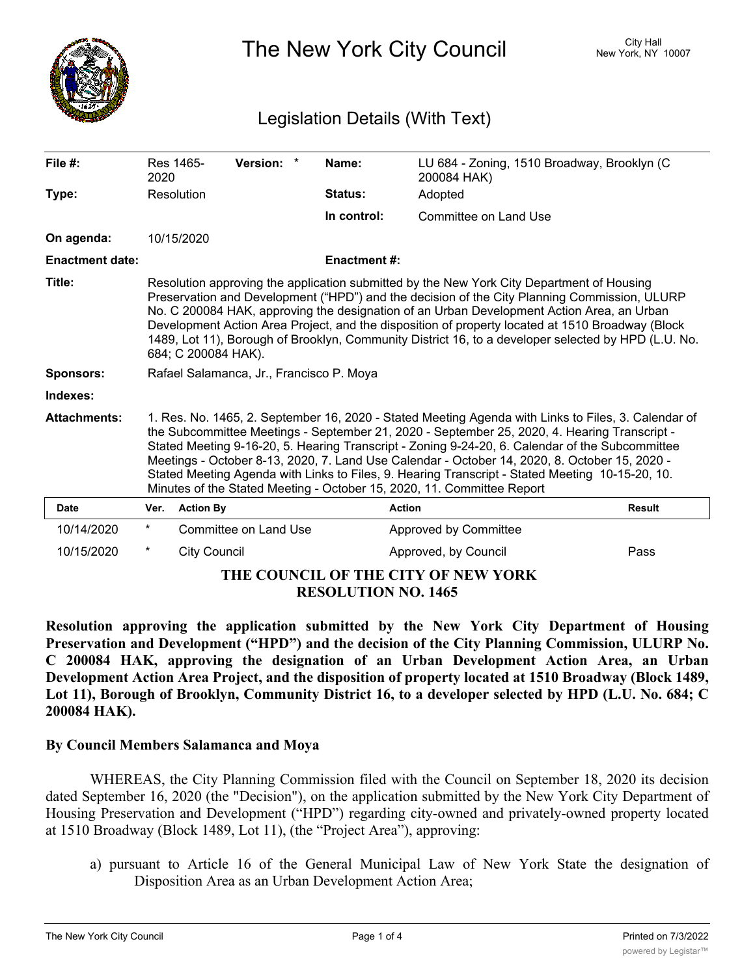

The New York City Council New York, NY 10007

# Legislation Details (With Text)

| File $#$ :                          | 2020                                                                                                                                                                                                                                                                                                                                                                                                                                                                                                                                                                                 | Res 1465-           | Version: *            |  | Name:               | LU 684 - Zoning, 1510 Broadway, Brooklyn (C<br>200084 HAK) |               |
|-------------------------------------|--------------------------------------------------------------------------------------------------------------------------------------------------------------------------------------------------------------------------------------------------------------------------------------------------------------------------------------------------------------------------------------------------------------------------------------------------------------------------------------------------------------------------------------------------------------------------------------|---------------------|-----------------------|--|---------------------|------------------------------------------------------------|---------------|
| Type:                               |                                                                                                                                                                                                                                                                                                                                                                                                                                                                                                                                                                                      | Resolution          |                       |  | Status:             | Adopted                                                    |               |
|                                     |                                                                                                                                                                                                                                                                                                                                                                                                                                                                                                                                                                                      |                     |                       |  | In control:         | Committee on Land Use                                      |               |
| On agenda:                          |                                                                                                                                                                                                                                                                                                                                                                                                                                                                                                                                                                                      | 10/15/2020          |                       |  |                     |                                                            |               |
| <b>Enactment date:</b>              |                                                                                                                                                                                                                                                                                                                                                                                                                                                                                                                                                                                      |                     |                       |  | <b>Enactment #:</b> |                                                            |               |
| Title:                              | Resolution approving the application submitted by the New York City Department of Housing<br>Preservation and Development ("HPD") and the decision of the City Planning Commission, ULURP<br>No. C 200084 HAK, approving the designation of an Urban Development Action Area, an Urban<br>Development Action Area Project, and the disposition of property located at 1510 Broadway (Block<br>1489, Lot 11), Borough of Brooklyn, Community District 16, to a developer selected by HPD (L.U. No.<br>684; C 200084 HAK).                                                             |                     |                       |  |                     |                                                            |               |
| <b>Sponsors:</b>                    | Rafael Salamanca, Jr., Francisco P. Moya                                                                                                                                                                                                                                                                                                                                                                                                                                                                                                                                             |                     |                       |  |                     |                                                            |               |
| Indexes:                            |                                                                                                                                                                                                                                                                                                                                                                                                                                                                                                                                                                                      |                     |                       |  |                     |                                                            |               |
| <b>Attachments:</b>                 | 1. Res. No. 1465, 2. September 16, 2020 - Stated Meeting Agenda with Links to Files, 3. Calendar of<br>the Subcommittee Meetings - September 21, 2020 - September 25, 2020, 4. Hearing Transcript -<br>Stated Meeting 9-16-20, 5. Hearing Transcript - Zoning 9-24-20, 6. Calendar of the Subcommittee<br>Meetings - October 8-13, 2020, 7. Land Use Calendar - October 14, 2020, 8. October 15, 2020 -<br>Stated Meeting Agenda with Links to Files, 9. Hearing Transcript - Stated Meeting 10-15-20, 10.<br>Minutes of the Stated Meeting - October 15, 2020, 11. Committee Report |                     |                       |  |                     |                                                            |               |
| <b>Date</b>                         | Ver.                                                                                                                                                                                                                                                                                                                                                                                                                                                                                                                                                                                 | <b>Action By</b>    |                       |  |                     | <b>Action</b>                                              | <b>Result</b> |
| 10/14/2020                          | $^{\star}$                                                                                                                                                                                                                                                                                                                                                                                                                                                                                                                                                                           |                     | Committee on Land Use |  |                     | Approved by Committee                                      |               |
| 10/15/2020                          | $\ast$                                                                                                                                                                                                                                                                                                                                                                                                                                                                                                                                                                               | <b>City Council</b> |                       |  |                     | Approved, by Council                                       | Pass          |
| THE COUNCIL OF THE CITY OF NEW YORK |                                                                                                                                                                                                                                                                                                                                                                                                                                                                                                                                                                                      |                     |                       |  |                     |                                                            |               |

**RESOLUTION NO. 1465**

**Resolution approving the application submitted by the New York City Department of Housing Preservation and Development ("HPD") and the decision of the City Planning Commission, ULURP No. C 200084 HAK, approving the designation of an Urban Development Action Area, an Urban Development Action Area Project, and the disposition of property located at 1510 Broadway (Block 1489,** Lot 11), Borough of Brooklyn, Community District 16, to a developer selected by HPD (L.U. No. 684; C **200084 HAK).**

## **By Council Members Salamanca and Moya**

WHEREAS, the City Planning Commission filed with the Council on September 18, 2020 its decision dated September 16, 2020 (the "Decision"), on the application submitted by the New York City Department of Housing Preservation and Development ("HPD") regarding city-owned and privately-owned property located at 1510 Broadway (Block 1489, Lot 11), (the "Project Area"), approving:

a) pursuant to Article 16 of the General Municipal Law of New York State the designation of Disposition Area as an Urban Development Action Area;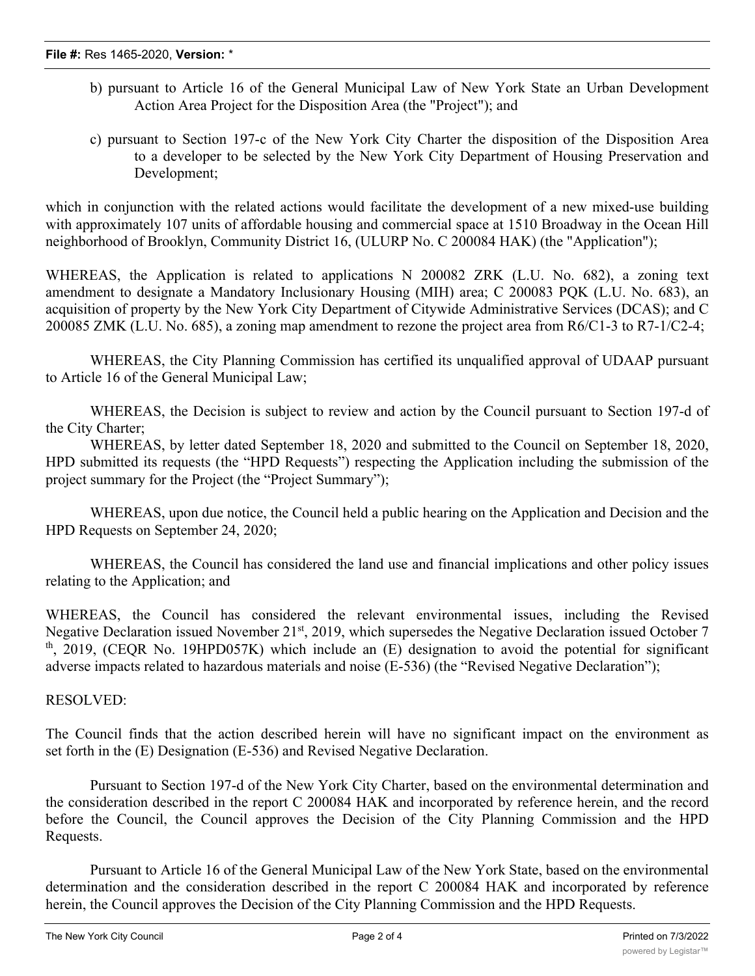- b) pursuant to Article 16 of the General Municipal Law of New York State an Urban Development Action Area Project for the Disposition Area (the "Project"); and
- c) pursuant to Section 197-c of the New York City Charter the disposition of the Disposition Area to a developer to be selected by the New York City Department of Housing Preservation and Development;

which in conjunction with the related actions would facilitate the development of a new mixed-use building with approximately 107 units of affordable housing and commercial space at 1510 Broadway in the Ocean Hill neighborhood of Brooklyn, Community District 16, (ULURP No. C 200084 HAK) (the "Application");

WHEREAS, the Application is related to applications N 200082 ZRK (L.U. No. 682), a zoning text amendment to designate a Mandatory Inclusionary Housing (MIH) area; C 200083 PQK (L.U. No. 683), an acquisition of property by the New York City Department of Citywide Administrative Services (DCAS); and C 200085 ZMK (L.U. No. 685), a zoning map amendment to rezone the project area from R6/C1-3 to R7-1/C2-4;

WHEREAS, the City Planning Commission has certified its unqualified approval of UDAAP pursuant to Article 16 of the General Municipal Law;

WHEREAS, the Decision is subject to review and action by the Council pursuant to Section 197-d of the City Charter;

WHEREAS, by letter dated September 18, 2020 and submitted to the Council on September 18, 2020, HPD submitted its requests (the "HPD Requests") respecting the Application including the submission of the project summary for the Project (the "Project Summary");

WHEREAS, upon due notice, the Council held a public hearing on the Application and Decision and the HPD Requests on September 24, 2020;

WHEREAS, the Council has considered the land use and financial implications and other policy issues relating to the Application; and

WHEREAS, the Council has considered the relevant environmental issues, including the Revised Negative Declaration issued November 21<sup>st</sup>, 2019, which supersedes the Negative Declaration issued October 7  $t<sup>th</sup>$ , 2019, (CEQR No. 19HPD057K) which include an (E) designation to avoid the potential for significant adverse impacts related to hazardous materials and noise (E-536) (the "Revised Negative Declaration");

## RESOLVED:

The Council finds that the action described herein will have no significant impact on the environment as set forth in the (E) Designation (E-536) and Revised Negative Declaration.

Pursuant to Section 197-d of the New York City Charter, based on the environmental determination and the consideration described in the report C 200084 HAK and incorporated by reference herein, and the record before the Council, the Council approves the Decision of the City Planning Commission and the HPD Requests.

Pursuant to Article 16 of the General Municipal Law of the New York State, based on the environmental determination and the consideration described in the report C 200084 HAK and incorporated by reference herein, the Council approves the Decision of the City Planning Commission and the HPD Requests.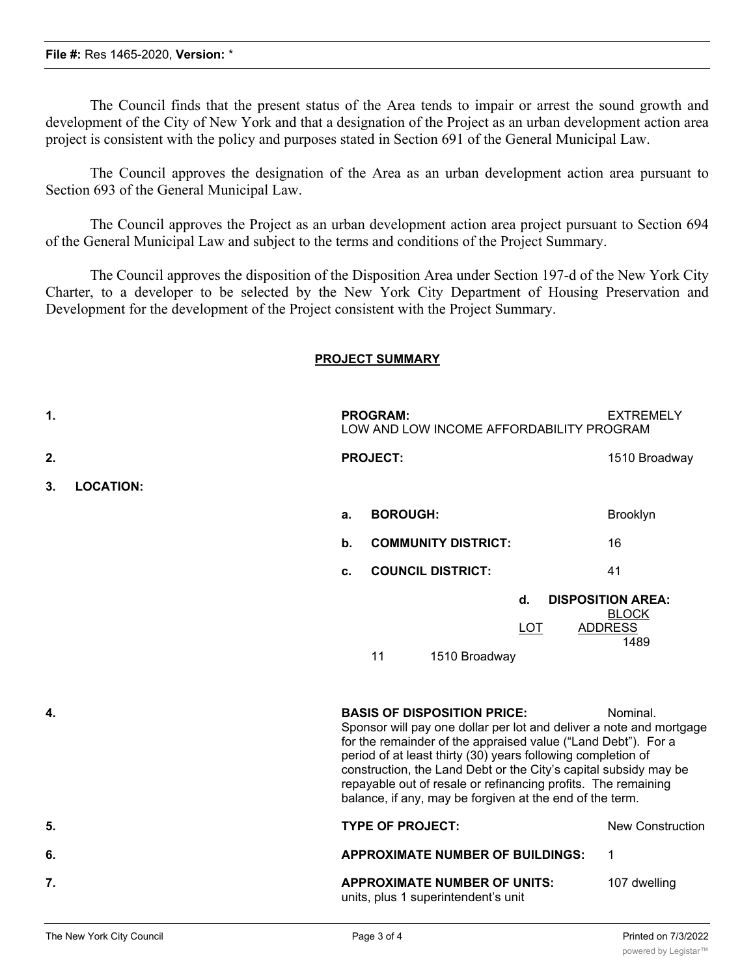### **File #:** Res 1465-2020, **Version:** \*

The Council finds that the present status of the Area tends to impair or arrest the sound growth and development of the City of New York and that a designation of the Project as an urban development action area project is consistent with the policy and purposes stated in Section 691 of the General Municipal Law.

The Council approves the designation of the Area as an urban development action area pursuant to Section 693 of the General Municipal Law.

The Council approves the Project as an urban development action area project pursuant to Section 694 of the General Municipal Law and subject to the terms and conditions of the Project Summary.

The Council approves the disposition of the Disposition Area under Section 197-d of the New York City Charter, to a developer to be selected by the New York City Department of Housing Preservation and Development for the development of the Project consistent with the Project Summary.

### **PROJECT SUMMARY**

| $\mathbf 1$ . |                  |                                                                                                                                                                                                                                                                                                                                | <b>PROGRAM:</b> |  |                                                                            |  |                  | <b>EXTREMELY</b><br>LOW AND LOW INCOME AFFORDABILITY PROGRAM                                                                                          |
|---------------|------------------|--------------------------------------------------------------------------------------------------------------------------------------------------------------------------------------------------------------------------------------------------------------------------------------------------------------------------------|-----------------|--|----------------------------------------------------------------------------|--|------------------|-------------------------------------------------------------------------------------------------------------------------------------------------------|
| 2.            |                  |                                                                                                                                                                                                                                                                                                                                | <b>PROJECT:</b> |  |                                                                            |  |                  | 1510 Broadway                                                                                                                                         |
| 3.            | <b>LOCATION:</b> |                                                                                                                                                                                                                                                                                                                                |                 |  |                                                                            |  |                  |                                                                                                                                                       |
|               |                  | a.                                                                                                                                                                                                                                                                                                                             | <b>BOROUGH:</b> |  |                                                                            |  |                  | Brooklyn                                                                                                                                              |
|               |                  | $\mathbf b$ .                                                                                                                                                                                                                                                                                                                  |                 |  | <b>COMMUNITY DISTRICT:</b>                                                 |  |                  | 16                                                                                                                                                    |
|               |                  | c.                                                                                                                                                                                                                                                                                                                             |                 |  | <b>COUNCIL DISTRICT:</b>                                                   |  |                  | 41                                                                                                                                                    |
| 4.            |                  |                                                                                                                                                                                                                                                                                                                                | 11              |  | 1510 Broadway<br><b>BASIS OF DISPOSITION PRICE:</b>                        |  | d.<br><b>LOT</b> | <b>DISPOSITION AREA:</b><br><b>BLOCK</b><br><b>ADDRESS</b><br>1489<br>Nominal.<br>Sponsor will pay one dollar per lot and deliver a note and mortgage |
|               |                  | for the remainder of the appraised value ("Land Debt"). For a<br>period of at least thirty (30) years following completion of<br>construction, the Land Debt or the City's capital subsidy may be<br>repayable out of resale or refinancing profits. The remaining<br>balance, if any, may be forgiven at the end of the term. |                 |  |                                                                            |  |                  |                                                                                                                                                       |
| 5.            |                  |                                                                                                                                                                                                                                                                                                                                |                 |  | <b>TYPE OF PROJECT:</b>                                                    |  |                  | <b>New Construction</b>                                                                                                                               |
| 6.            |                  |                                                                                                                                                                                                                                                                                                                                |                 |  | <b>APPROXIMATE NUMBER OF BUILDINGS:</b>                                    |  |                  | $\mathbf 1$                                                                                                                                           |
| 7.            |                  |                                                                                                                                                                                                                                                                                                                                |                 |  | <b>APPROXIMATE NUMBER OF UNITS:</b><br>units, plus 1 superintendent's unit |  |                  | 107 dwelling                                                                                                                                          |